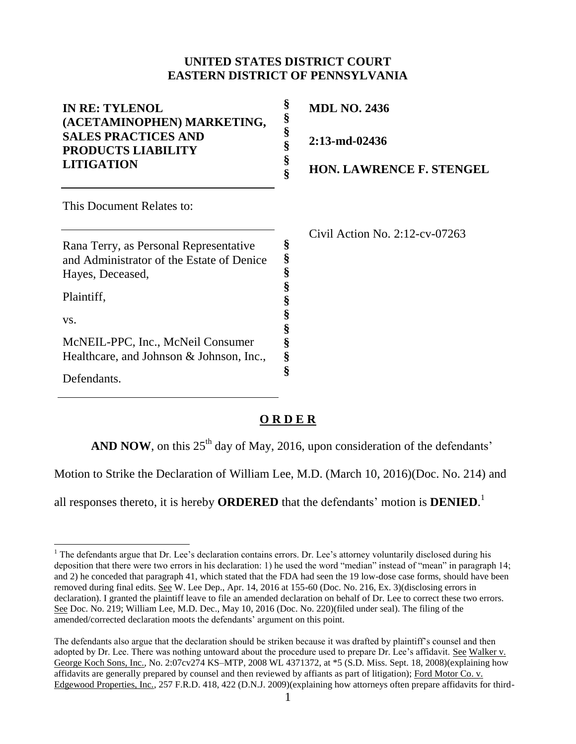## **UNITED STATES DISTRICT COURT EASTERN DISTRICT OF PENNSYLVANIA**

| <b>IN RE: TYLENOL</b><br>(ACETAMINOPHEN) MARKETING,<br><b>SALES PRACTICES AND</b><br><b>PRODUCTS LIABILITY</b>                                                                                                               | §<br><b>MDL NO. 2436</b><br>§<br>§<br>$2:13$ -md-02436<br>§               |
|------------------------------------------------------------------------------------------------------------------------------------------------------------------------------------------------------------------------------|---------------------------------------------------------------------------|
| <b>LITIGATION</b>                                                                                                                                                                                                            | §<br><b>HON. LAWRENCE F. STENGEL</b>                                      |
| This Document Relates to:                                                                                                                                                                                                    |                                                                           |
| Rana Terry, as Personal Representative<br>and Administrator of the Estate of Denice<br>Hayes, Deceased,<br>Plaintiff,<br>VS.<br>McNEIL-PPC, Inc., McNeil Consumer<br>Healthcare, and Johnson & Johnson, Inc.,<br>Defendants. | Civil Action No. $2:12$ -cv-07263<br>§<br>§<br>§<br>§<br>§<br>§<br>§<br>§ |

## **O R D E R**

**AND NOW**, on this  $25<sup>th</sup>$  day of May, 2016, upon consideration of the defendants'

Motion to Strike the Declaration of William Lee, M.D. (March 10, 2016)(Doc. No. 214) and

all responses thereto, it is hereby **ORDERED** that the defendants' motion is **DENIED**. 1

 $\overline{a}$ <sup>1</sup> The defendants argue that Dr. Lee's declaration contains errors. Dr. Lee's attorney voluntarily disclosed during his deposition that there were two errors in his declaration: 1) he used the word "median" instead of "mean" in paragraph 14; and 2) he conceded that paragraph 41, which stated that the FDA had seen the 19 low-dose case forms, should have been removed during final edits. See W. Lee Dep., Apr. 14, 2016 at 155-60 (Doc. No. 216, Ex. 3)(disclosing errors in declaration). I granted the plaintiff leave to file an amended declaration on behalf of Dr. Lee to correct these two errors. See Doc. No. 219; William Lee, M.D. Dec., May 10, 2016 (Doc. No. 220)(filed under seal). The filing of the amended/corrected declaration moots the defendants' argument on this point.

The defendants also argue that the declaration should be striken because it was drafted by plaintiff's counsel and then adopted by Dr. Lee. There was nothing untoward about the procedure used to prepare Dr. Lee's affidavit. See Walker v. George Koch Sons, Inc., No. 2:07cv274 KS–MTP, 2008 WL 4371372, at \*5 (S.D. Miss. Sept. 18, 2008)(explaining how affidavits are generally prepared by counsel and then reviewed by affiants as part of litigation); Ford Motor Co. v. Edgewood Properties, Inc., 257 F.R.D. 418, 422 (D.N.J. 2009)(explaining how attorneys often prepare affidavits for third-